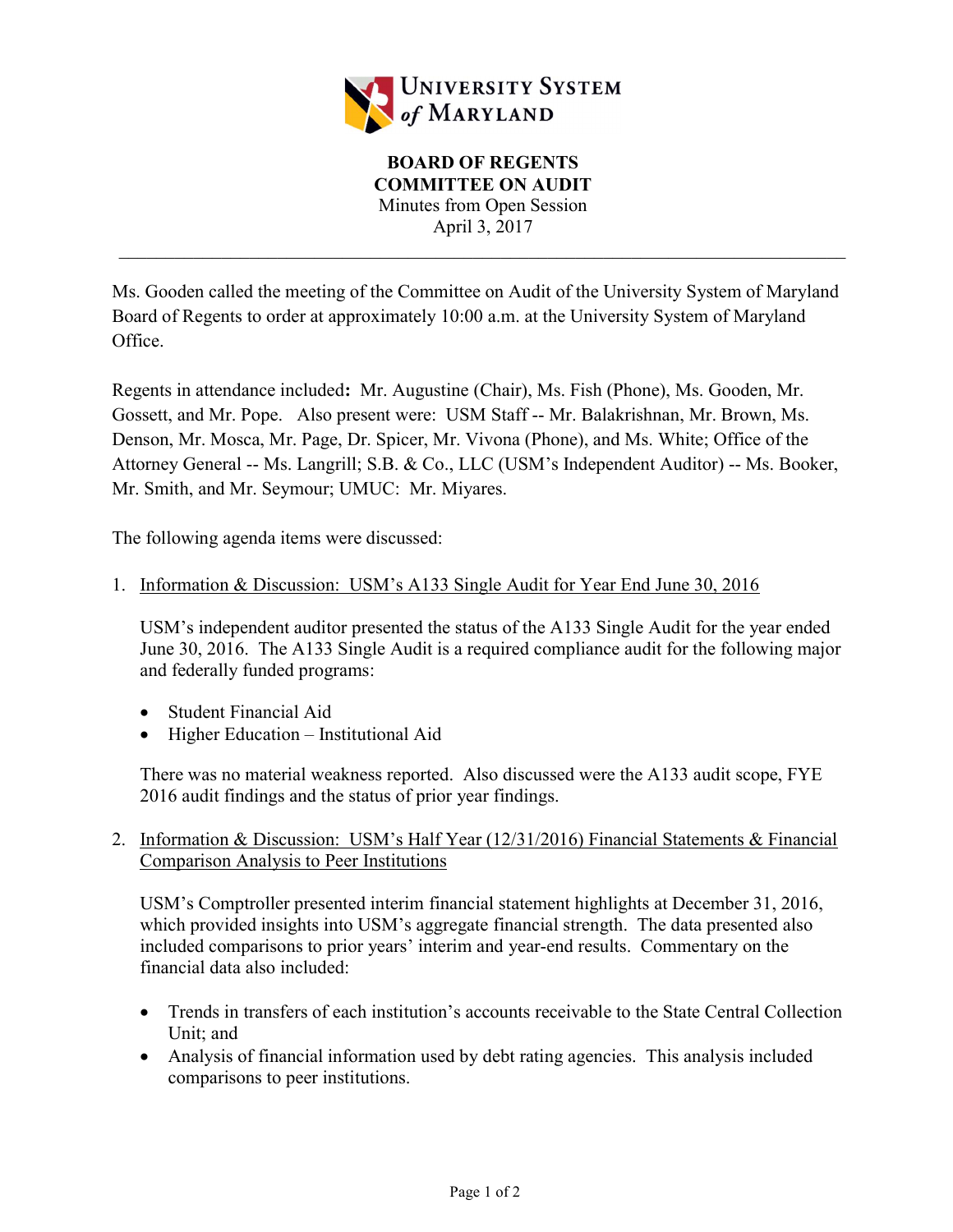

Ms. Gooden called the meeting of the Committee on Audit of the University System of Maryland Board of Regents to order at approximately 10:00 a.m. at the University System of Maryland Office.

Regents in attendance included: Mr. Augustine (Chair), Ms. Fish (Phone), Ms. Gooden, Mr. Gossett, and Mr. Pope. Also present were: USM Staff -- Mr. Balakrishnan, Mr. Brown, Ms. Denson, Mr. Mosca, Mr. Page, Dr. Spicer, Mr. Vivona (Phone), and Ms. White; Office of the Attorney General -- Ms. Langrill; S.B. & Co., LLC (USM's Independent Auditor) -- Ms. Booker, Mr. Smith, and Mr. Seymour; UMUC: Mr. Miyares.

The following agenda items were discussed:

1. Information & Discussion: USM's A133 Single Audit for Year End June 30, 2016

USM's independent auditor presented the status of the A133 Single Audit for the year ended June 30, 2016. The A133 Single Audit is a required compliance audit for the following major and federally funded programs:

- Student Financial Aid
- Higher Education Institutional Aid

There was no material weakness reported. Also discussed were the A133 audit scope, FYE 2016 audit findings and the status of prior year findings.

2. Information & Discussion: USM's Half Year (12/31/2016) Financial Statements & Financial Comparison Analysis to Peer Institutions

USM's Comptroller presented interim financial statement highlights at December 31, 2016, which provided insights into USM's aggregate financial strength. The data presented also included comparisons to prior years' interim and year-end results. Commentary on the financial data also included:

- Trends in transfers of each institution's accounts receivable to the State Central Collection Unit; and
- Analysis of financial information used by debt rating agencies. This analysis included comparisons to peer institutions.